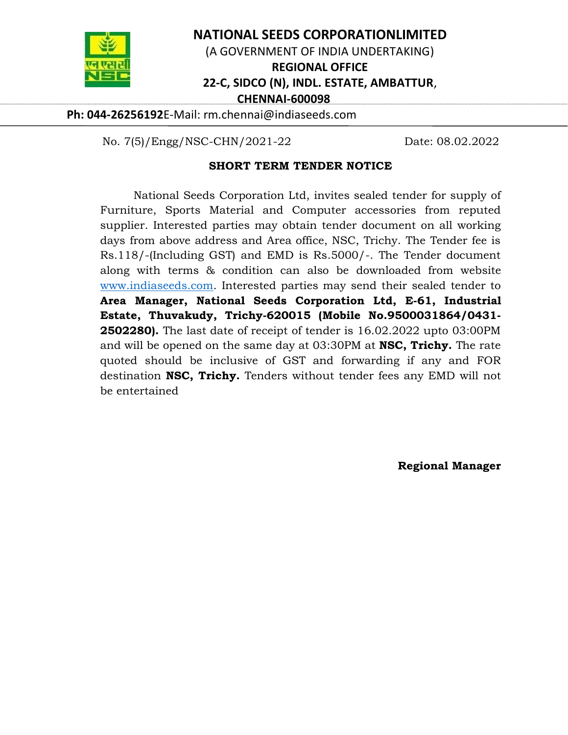

# **NATIONAL SEEDS CORPORATIONLIMITED**

(A GOVERNMENT OF INDIA UNDERTAKING)

**REGIONAL OFFICE**

## **22-C, SIDCO (N), INDL. ESTATE, AMBATTUR**,

**CHENNAI-600098**

**Ph: 044-26256192**E-Mail: rm.chennai@indiaseeds.com

No. 7(5)/Engg/NSC-CHN/2021-22 Date: 08.02.2022

#### **SHORT TERM TENDER NOTICE**

National Seeds Corporation Ltd, invites sealed tender for supply of Furniture, Sports Material and Computer accessories from reputed supplier. Interested parties may obtain tender document on all working days from above address and Area office, NSC, Trichy. The Tender fee is Rs.118/-(Including GST) and EMD is Rs.5000/-. The Tender document along with terms & condition can also be downloaded from website [www.indiaseeds.com.](http://www.indiaseeds.com/) Interested parties may send their sealed tender to **Area Manager, National Seeds Corporation Ltd, E-61, Industrial Estate, Thuvakudy, Trichy-620015 (Mobile No.9500031864/0431- 2502280).** The last date of receipt of tender is 16.02.2022 upto 03:00PM and will be opened on the same day at 03:30PM at **NSC, Trichy.** The rate quoted should be inclusive of GST and forwarding if any and FOR destination **NSC, Trichy.** Tenders without tender fees any EMD will not be entertained

**Regional Manager**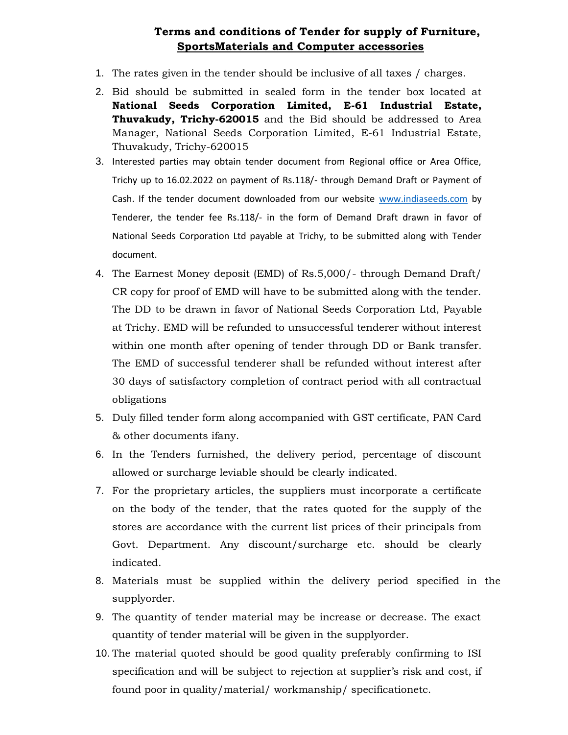#### **Terms and conditions of Tender for supply of Furniture, SportsMaterials and Computer accessories**

- 1. The rates given in the tender should be inclusive of all taxes / charges.
- 2. Bid should be submitted in sealed form in the tender box located at **National Seeds Corporation Limited, E-61 Industrial Estate, Thuvakudy, Trichy-620015** and the Bid should be addressed to Area Manager, National Seeds Corporation Limited, E-61 Industrial Estate, Thuvakudy, Trichy-620015
- 3. Interested parties may obtain tender document from Regional office or Area Office, Trichy up to 16.02.2022 on payment of Rs.118/- through Demand Draft or Payment of Cash. If the tender document downloaded from our website [www.indiaseeds.com](http://www.indiaseeds.com/) by Tenderer, the tender fee Rs.118/- in the form of Demand Draft drawn in favor of National Seeds Corporation Ltd payable at Trichy, to be submitted along with Tender document.
- 4. The Earnest Money deposit (EMD) of Rs.5,000/- through Demand Draft/ CR copy for proof of EMD will have to be submitted along with the tender. The DD to be drawn in favor of National Seeds Corporation Ltd, Payable at Trichy. EMD will be refunded to unsuccessful tenderer without interest within one month after opening of tender through DD or Bank transfer. The EMD of successful tenderer shall be refunded without interest after 30 days of satisfactory completion of contract period with all contractual obligations
- 5. Duly filled tender form along accompanied with GST certificate, PAN Card & other documents ifany.
- 6. In the Tenders furnished, the delivery period, percentage of discount allowed or surcharge leviable should be clearly indicated.
- 7. For the proprietary articles, the suppliers must incorporate a certificate on the body of the tender, that the rates quoted for the supply of the stores are accordance with the current list prices of their principals from Govt. Department. Any discount/surcharge etc. should be clearly indicated.
- 8. Materials must be supplied within the delivery period specified in the supplyorder.
- 9. The quantity of tender material may be increase or decrease. The exact quantity of tender material will be given in the supplyorder.
- 10. The material quoted should be good quality preferably confirming to ISI specification and will be subject to rejection at supplier's risk and cost, if found poor in quality/material/ workmanship/ specificationetc.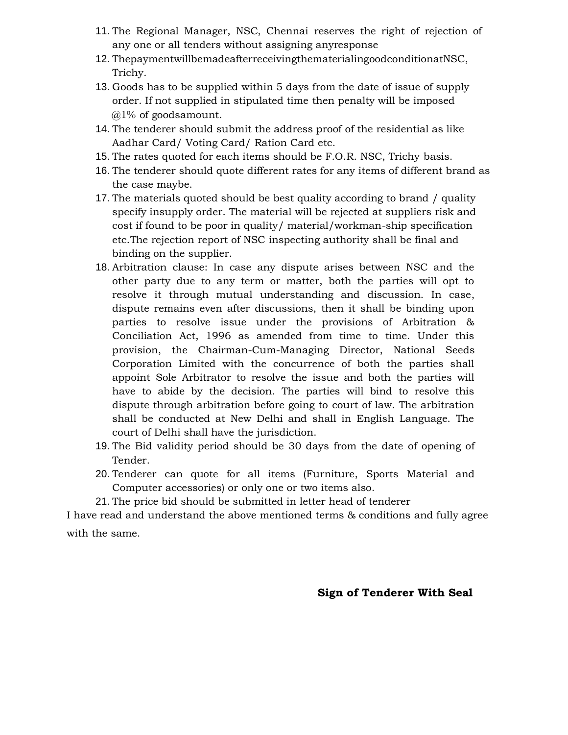- 11. The Regional Manager, NSC, Chennai reserves the right of rejection of any one or all tenders without assigning anyresponse
- 12. ThepaymentwillbemadeafterreceivingthematerialingoodconditionatNSC, Trichy.
- 13. Goods has to be supplied within 5 days from the date of issue of supply order. If not supplied in stipulated time then penalty will be imposed @1% of goodsamount.
- 14. The tenderer should submit the address proof of the residential as like Aadhar Card/ Voting Card/ Ration Card etc.
- 15. The rates quoted for each items should be F.O.R. NSC, Trichy basis.
- 16. The tenderer should quote different rates for any items of different brand as the case maybe.
- 17. The materials quoted should be best quality according to brand / quality specify insupply order. The material will be rejected at suppliers risk and cost if found to be poor in quality/ material/workman-ship specification etc.The rejection report of NSC inspecting authority shall be final and binding on the supplier.
- 18. Arbitration clause: In case any dispute arises between NSC and the other party due to any term or matter, both the parties will opt to resolve it through mutual understanding and discussion. In case, dispute remains even after discussions, then it shall be binding upon parties to resolve issue under the provisions of Arbitration & Conciliation Act, 1996 as amended from time to time. Under this provision, the Chairman-Cum-Managing Director, National Seeds Corporation Limited with the concurrence of both the parties shall appoint Sole Arbitrator to resolve the issue and both the parties will have to abide by the decision. The parties will bind to resolve this dispute through arbitration before going to court of law. The arbitration shall be conducted at New Delhi and shall in English Language. The court of Delhi shall have the jurisdiction.
- 19. The Bid validity period should be 30 days from the date of opening of Tender.
- 20. Tenderer can quote for all items (Furniture, Sports Material and Computer accessories) or only one or two items also.
- 21. The price bid should be submitted in letter head of tenderer

I have read and understand the above mentioned terms & conditions and fully agree with the same.

#### **Sign of Tenderer With Seal**